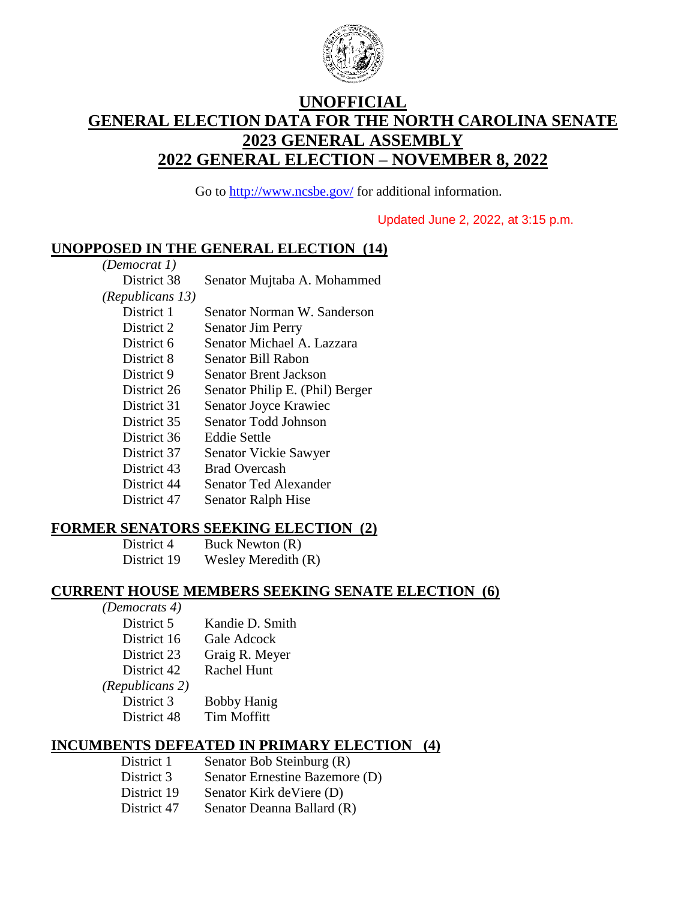

# **UNOFFICIAL GENERAL ELECTION DATA FOR THE NORTH CAROLINA SENATE 2023 GENERAL ASSEMBLY 2022 GENERAL ELECTION – NOVEMBER 8, 2022**

Go to [http://www.ncsbe.gov/](http://www.ncsbe.gov/ncsbe/) for additional information.

Updated June 2, 2022, at 3:15 p.m.

# **UNOPPOSED IN THE GENERAL ELECTION (14)**

| Senator Mujtaba A. Mohammed     |
|---------------------------------|
|                                 |
| Senator Norman W. Sanderson     |
| <b>Senator Jim Perry</b>        |
| Senator Michael A. Lazzara      |
| Senator Bill Rabon              |
| Senator Brent Jackson           |
| Senator Philip E. (Phil) Berger |
| Senator Joyce Krawiec           |
| Senator Todd Johnson            |
| Eddie Settle                    |
| Senator Vickie Sawyer           |
| <b>Brad Overcash</b>            |
| Senator Ted Alexander           |
| <b>Senator Ralph Hise</b>       |
|                                 |

### **FORMER SENATORS SEEKING ELECTION (2)**

District 4 Buck Newton (R) District 19 Wesley Meredith (R)

#### **CURRENT HOUSE MEMBERS SEEKING SENATE ELECTION (6)**

| (Democrates 4)  |                    |
|-----------------|--------------------|
| District 5      | Kandie D. Smith    |
| District 16     | Gale Adcock        |
| District 23     | Graig R. Meyer     |
| District 42     | <b>Rachel Hunt</b> |
| (Republicans 2) |                    |
| District 3      | <b>Bobby Hanig</b> |
| District 48     | <b>Tim Moffitt</b> |

#### **INCUMBENTS DEFEATED IN PRIMARY ELECTION (4)**

District 1 Senator Bob Steinburg (R) District 3 Senator Ernestine Bazemore (D) District 19 Senator Kirk deViere (D) District 47 Senator Deanna Ballard (R)